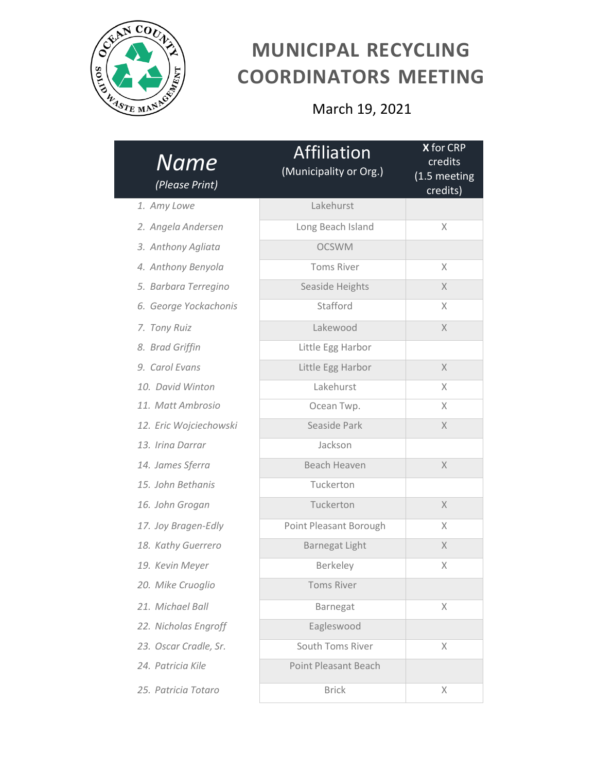

## **MUNICIPAL RECYCLING COORDINATORS MEETING**

## March 19, 2021

| <u>Name</u><br>(Please Print) | <b>Affiliation</b><br>(Municipality or Org.) | X for CRP<br>credits<br>(1.5 meeting<br>credits) |
|-------------------------------|----------------------------------------------|--------------------------------------------------|
| 1. Amy Lowe                   | Lakehurst                                    |                                                  |
| 2. Angela Andersen            | Long Beach Island                            | X                                                |
| 3. Anthony Agliata            | <b>OCSWM</b>                                 |                                                  |
| 4. Anthony Benyola            | <b>Toms River</b>                            | X                                                |
| 5. Barbara Terregino          | Seaside Heights                              | X                                                |
| 6. George Yockachonis         | Stafford                                     | X                                                |
| 7. Tony Ruiz                  | Lakewood                                     | $\mathsf X$                                      |
| 8. Brad Griffin               | Little Egg Harbor                            |                                                  |
| 9. Carol Evans                | Little Egg Harbor                            | $\mathsf X$                                      |
| 10. David Winton              | Lakehurst                                    | X                                                |
| 11. Matt Ambrosio             | Ocean Twp.                                   | X                                                |
| 12. Eric Wojciechowski        | Seaside Park                                 | $\mathsf X$                                      |
| 13. Irina Darrar              | Jackson                                      |                                                  |
| 14. James Sferra              | Beach Heaven                                 | X                                                |
| 15. John Bethanis             | Tuckerton                                    |                                                  |
| 16. John Grogan               | Tuckerton                                    | X                                                |
| 17. Joy Bragen-Edly           | Point Pleasant Borough                       | X                                                |
| 18. Kathy Guerrero            | <b>Barnegat Light</b>                        | X                                                |
| 19. Kevin Meyer               | Berkeley                                     | X                                                |
| 20. Mike Cruoglio             | <b>Toms River</b>                            |                                                  |
| 21. Michael Ball              | Barnegat                                     | X                                                |
| 22. Nicholas Engroff          | Eagleswood                                   |                                                  |
| 23. Oscar Cradle, Sr.         | South Toms River                             | X                                                |
| 24. Patricia Kile             | <b>Point Pleasant Beach</b>                  |                                                  |
| 25. Patricia Totaro           | <b>Brick</b>                                 | Χ                                                |